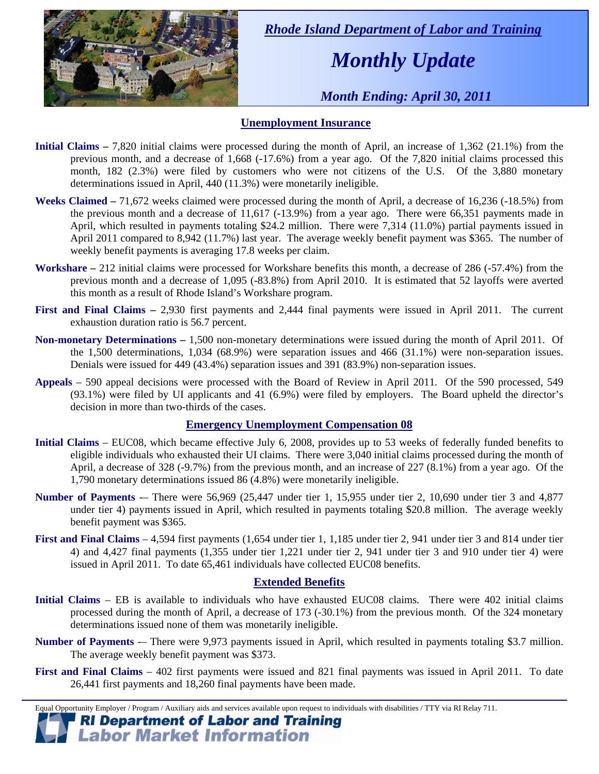

 *Rhode Island Department of Labor and Training* 

# *Monthly Update*

 *Month Ending: April 30, 2011* 

### **Unemployment Insurance**

- **Initial Claims 7,820** initial claims were processed during the month of April, an increase of 1,362 (21.1%) from the previous month, and a decrease of 1,668 (-17.6%) from a year ago. Of the 7,820 initial claims processed this month, 182 (2.3%) were filed by customers who were not citizens of the U.S. Of the 3,880 monetary determinations issued in April, 440 (11.3%) were monetarily ineligible.
- **Weeks Claimed** 71,672 weeks claimed were processed during the month of April, a decrease of 16,236 (-18.5%) from the previous month and a decrease of 11,617 (-13.9%) from a year ago. There were 66,351 payments made in April, which resulted in payments totaling \$24.2 million. There were 7,314 (11.0%) partial payments issued in April 2011 compared to 8,942 (11.7%) last year. The average weekly benefit payment was \$365. The number of weekly benefit payments is averaging 17.8 weeks per claim.
- **Workshare –** 212 initial claims were processed for Workshare benefits this month, a decrease of 286 (-57.4%) from the previous month and a decrease of 1,095 (-83.8%) from April 2010. It is estimated that 52 layoffs were averted this month as a result of Rhode Island's Workshare program.
- **First and Final Claims –** 2,930 first payments and 2,444 final payments were issued in April 2011. The current exhaustion duration ratio is 56.7 percent.
- **Non-monetary Determinations –** 1,500 non-monetary determinations were issued during the month of April 2011. Of the 1,500 determinations, 1,034 (68.9%) were separation issues and 466 (31.1%) were non-separation issues. Denials were issued for 449 (43.4%) separation issues and 391 (83.9%) non-separation issues.
- **Appeals** 590 appeal decisions were processed with the Board of Review in April 2011. Of the 590 processed, 549 (93.1%) were filed by UI applicants and 41 (6.9%) were filed by employers. The Board upheld the director's decision in more than two-thirds of the cases.

#### **Emergency Unemployment Compensation 08**

- **Initial Claims**  EUC08, which became effective July 6, 2008, provides up to 53 weeks of federally funded benefits to eligible individuals who exhausted their UI claims. There were 3,040 initial claims processed during the month of April, a decrease of 328 (-9.7%) from the previous month, and an increase of 227 (8.1%) from a year ago. Of the 1,790 monetary determinations issued 86 (4.8%) were monetarily ineligible.
- **Number of Payments** -– There were 56,969 (25,447 under tier 1, 15,955 under tier 2, 10,690 under tier 3 and 4,877 under tier 4) payments issued in April, which resulted in payments totaling \$20.8 million. The average weekly benefit payment was \$365.
- **First and Final Claims**  4,594 first payments (1,654 under tier 1, 1,185 under tier 2, 941 under tier 3 and 814 under tier 4) and 4,427 final payments (1,355 under tier 1,221 under tier 2, 941 under tier 3 and 910 under tier 4) were issued in April 2011. To date 65,461 individuals have collected EUC08 benefits.

#### **Extended Benefits**

- **Initial Claims**  EB is available to individuals who have exhausted EUC08 claims. There were 402 initial claims processed during the month of April, a decrease of 173 (-30.1%) from the previous month. Of the 324 monetary determinations issued none of them was monetarily ineligible.
- **Number of Payments** -– There were 9,973 payments issued in April, which resulted in payments totaling \$3.7 million. The average weekly benefit payment was \$373.
- **First and Final Claims**  402 first payments were issued and 821 final payments was issued in April 2011. To date 26,441 first payments and 18,260 final payments have been made.

 Equal Opportunity Employer / Program / Auxiliary aids and services available upon request to individuals with disabilities / TTY via RI Relay 711.

# **RI Department of Labor and Training<br>Labor Market Information**